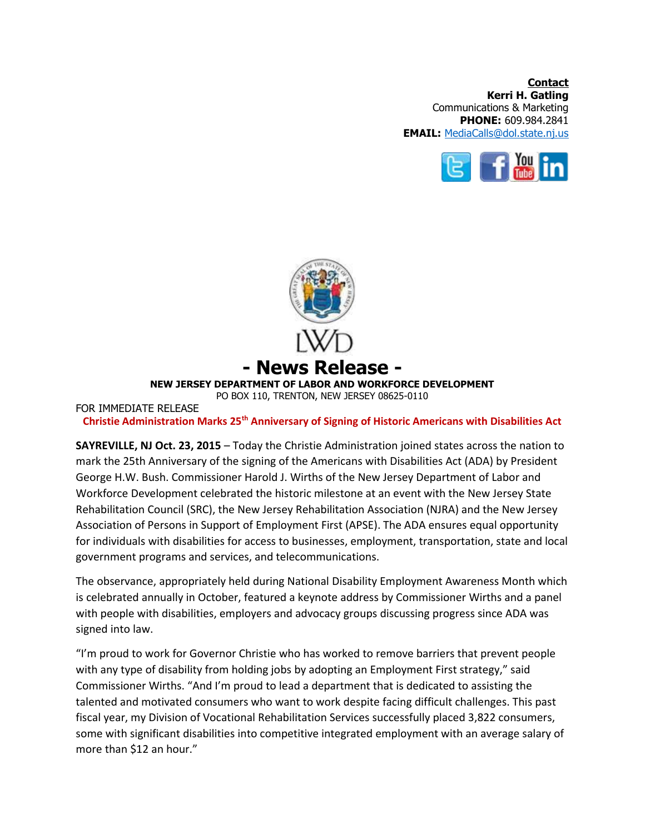**Contact Kerri H. Gatling** Communications & Marketing **PHONE:** 609.984.2841 **EMAIL:** [MediaCalls@dol.state.nj.us](mailto:MediaCalls@dol.state.nj.us)





**Christie Administration Marks 25th Anniversary of Signing of Historic Americans with Disabilities Act** 

**SAYREVILLE, NJ Oct. 23, 2015** – Today the Christie Administration joined states across the nation to mark the 25th Anniversary of the signing of the Americans with Disabilities Act (ADA) by President George H.W. Bush. Commissioner Harold J. Wirths of the New Jersey Department of Labor and Workforce Development celebrated the historic milestone at an event with the New Jersey State Rehabilitation Council (SRC), the New Jersey Rehabilitation Association (NJRA) and the New Jersey Association of Persons in Support of Employment First (APSE). The ADA ensures equal opportunity for individuals with disabilities for access to businesses, employment, transportation, state and local government programs and services, and telecommunications.

The observance, appropriately held during National Disability Employment Awareness Month which is celebrated annually in October, featured a keynote address by Commissioner Wirths and a panel with people with disabilities, employers and advocacy groups discussing progress since ADA was signed into law.

"I'm proud to work for Governor Christie who has worked to remove barriers that prevent people with any type of disability from holding jobs by adopting an Employment First strategy," said Commissioner Wirths. "And I'm proud to lead a department that is dedicated to assisting the talented and motivated consumers who want to work despite facing difficult challenges. This past fiscal year, my Division of Vocational Rehabilitation Services successfully placed 3,822 consumers, some with significant disabilities into competitive integrated employment with an average salary of more than \$12 an hour."